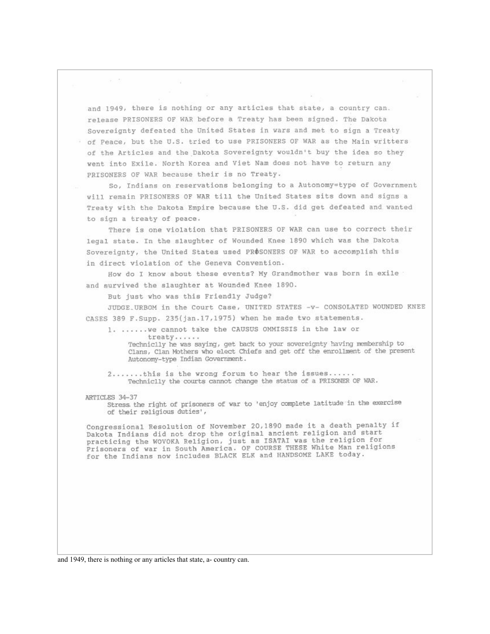and 1949, there is nothing or any articles that state, a country can. release PRISONERS OF WAR before a Treaty has been signed. The Dakota Sovereignty defeated the United States in wars and met to sign a Treaty of Peace, but the U.S. tried to use PRISONERS OF WAR as the Main writters of the Articles and the Dakota Sovereignty wouldn't buy the idea so they went into Exile. North Korea and Viet Nam does not have to return any PRISONERS OF WAR because their is no Treaty.

So, Indians on reservations belonging to a Autonomy=type of Government will remain PRISONERS OF WAR till the United States sits down and signs a Treaty with the Dakota Empire because the U.S. did get defeated and wanted to sign a treaty of peace.

There is one violation that PRISONERS OF WAR can use to correct their legal state. In the slaughter of Wounded Knee 1890 which was the Dakota Sovereignty, the United States used PROSONERS OF WAR to accomplish this in direct violation of the Geneva Convention.

How do I know about these events? My Grandmother was born in exile and survived the slaughter at Wounded Knee 1890.

But just who was this Friendly Judge?

JUDGE URBOM in the Court Case, UNITED STATES -V- CONSOLATED WOUNDED KNEE CASES 389 F. Supp. 235(jan.17,1975) when he made two statements.

1. ...... we cannot take the CAUSUS OMMISSIS in the law or

treatv......

Techniclly he was saying, get back to your sovereignty having membership to Clans, Clan Mothers who elect Chiefs and get off the enrollment of the present Autonomy-type Indian Government.

2.......this is the wrong forum to hear the issues...... Techniclly the courts cannot change the status of a PRISONER OF WAR.

## ARTICLES 34-37

 $\tilde{\sigma}_1=\tilde{\sigma}_2$ 

Stress the right of prisoners of war to 'enjoy complete latitude in the exercise of their religious duties',

Congressional Resolution of November 20,1890 made it a death penalty if Dakota Indians did not drop the original ancient religion and start practicing the WOVOKA Religion, just as ISATAI was the religion for Prisoners of war in South America. OF COURSE THESE White Man religions<br>for the Indians now includes BLACK ELK and HANDSOME LAKE today.

and 1949, there is nothing or any articles that state, a-country can.